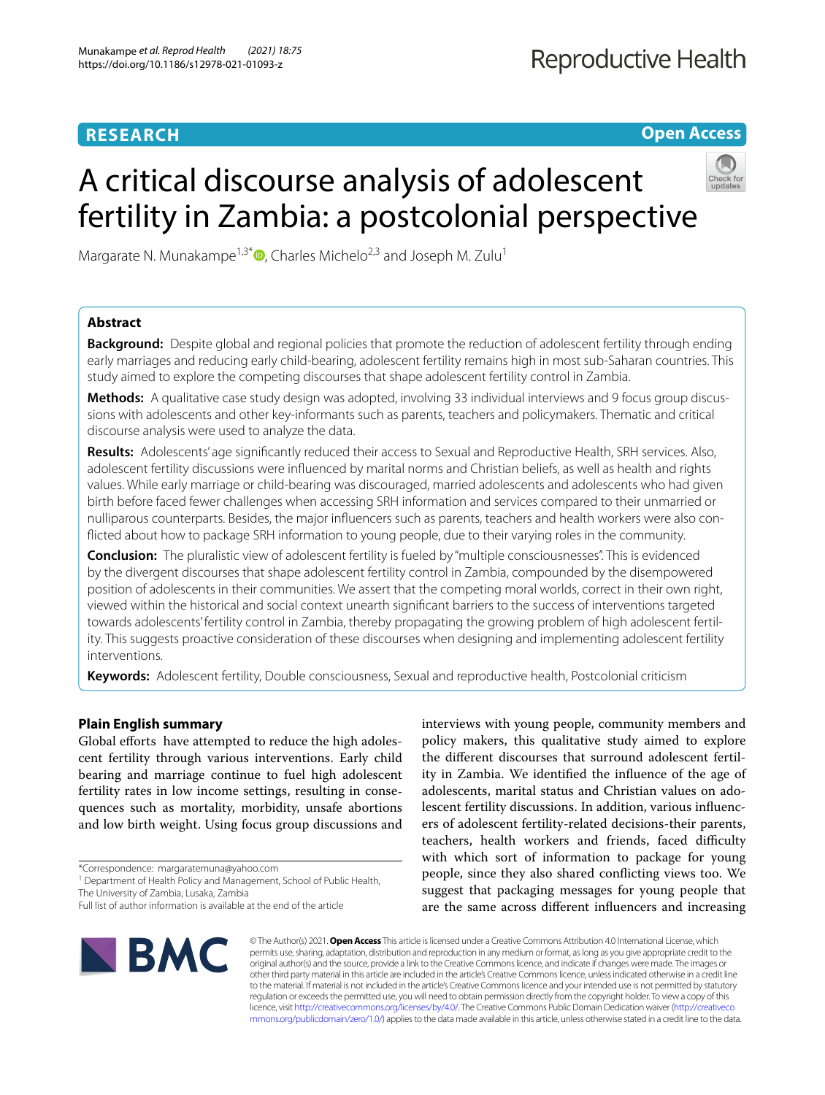# **RESEARCH**

**Open Access**

# A critical discourse analysis of adolescent fertility in Zambia: a postcolonial perspective



Margarate N. Munakampe<sup>1,3[\\*](http://orcid.org/0000-0001-9279-241X)</sup> $\bullet$ , Charles Michelo<sup>2,3</sup> and Joseph M. Zulu<sup>1</sup>

# **Abstract**

**Background:** Despite global and regional policies that promote the reduction of adolescent fertility through ending early marriages and reducing early child-bearing, adolescent fertility remains high in most sub-Saharan countries. This study aimed to explore the competing discourses that shape adolescent fertility control in Zambia.

**Methods:** A qualitative case study design was adopted, involving 33 individual interviews and 9 focus group discussions with adolescents and other key-informants such as parents, teachers and policymakers. Thematic and critical discourse analysis were used to analyze the data.

**Results:** Adolescents' age signifcantly reduced their access to Sexual and Reproductive Health, SRH services. Also, adolescent fertility discussions were infuenced by marital norms and Christian beliefs, as well as health and rights values. While early marriage or child-bearing was discouraged, married adolescents and adolescents who had given birth before faced fewer challenges when accessing SRH information and services compared to their unmarried or nulliparous counterparts. Besides, the major infuencers such as parents, teachers and health workers were also conficted about how to package SRH information to young people, due to their varying roles in the community.

**Conclusion:** The pluralistic view of adolescent fertility is fueled by "multiple consciousnesses". This is evidenced by the divergent discourses that shape adolescent fertility control in Zambia, compounded by the disempowered position of adolescents in their communities. We assert that the competing moral worlds, correct in their own right, viewed within the historical and social context unearth signifcant barriers to the success of interventions targeted towards adolescents' fertility control in Zambia, thereby propagating the growing problem of high adolescent fertility. This suggests proactive consideration of these discourses when designing and implementing adolescent fertility interventions.

**Keywords:** Adolescent fertility, Double consciousness, Sexual and reproductive health, Postcolonial criticism

## **Plain English summary**

Global efforts have attempted to reduce the high adolescent fertility through various interventions. Early child bearing and marriage continue to fuel high adolescent fertility rates in low income settings, resulting in consequences such as mortality, morbidity, unsafe abortions and low birth weight. Using focus group discussions and

\*Correspondence: margaratemuna@yahoo.com

<sup>1</sup> Department of Health Policy and Management, School of Public Health, The University of Zambia, Lusaka, Zambia

interviews with young people, community members and policy makers, this qualitative study aimed to explore the diferent discourses that surround adolescent fertility in Zambia. We identifed the infuence of the age of adolescents, marital status and Christian values on adolescent fertility discussions. In addition, various infuencers of adolescent fertility-related decisions-their parents, teachers, health workers and friends, faced difficulty with which sort of information to package for young people, since they also shared conficting views too. We suggest that packaging messages for young people that are the same across diferent infuencers and increasing



© The Author(s) 2021. **Open Access** This article is licensed under a Creative Commons Attribution 4.0 International License, which permits use, sharing, adaptation, distribution and reproduction in any medium or format, as long as you give appropriate credit to the original author(s) and the source, provide a link to the Creative Commons licence, and indicate if changes were made. The images or other third party material in this article are included in the article's Creative Commons licence, unless indicated otherwise in a credit line to the material. If material is not included in the article's Creative Commons licence and your intended use is not permitted by statutory regulation or exceeds the permitted use, you will need to obtain permission directly from the copyright holder. To view a copy of this licence, visit [http://creativecommons.org/licenses/by/4.0/.](http://creativecommons.org/licenses/by/4.0/) The Creative Commons Public Domain Dedication waiver ([http://creativeco](http://creativecommons.org/publicdomain/zero/1.0/) [mmons.org/publicdomain/zero/1.0/](http://creativecommons.org/publicdomain/zero/1.0/)) applies to the data made available in this article, unless otherwise stated in a credit line to the data.

Full list of author information is available at the end of the article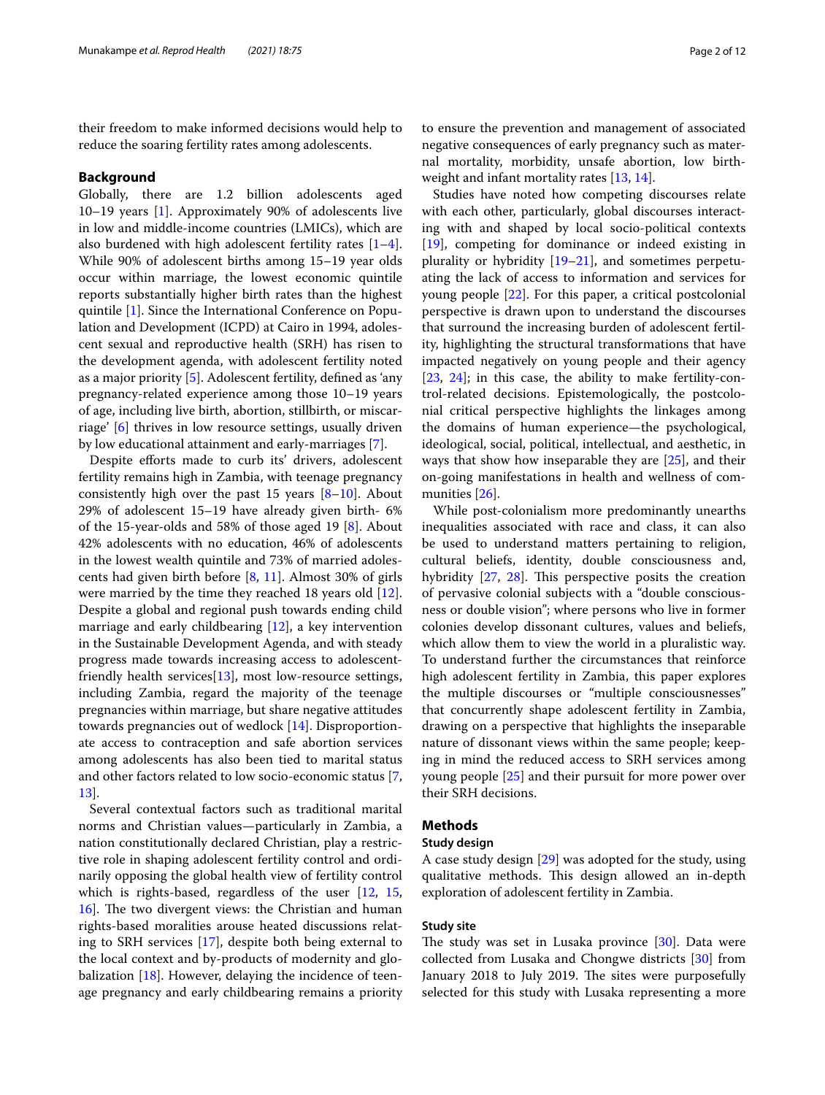their freedom to make informed decisions would help to reduce the soaring fertility rates among adolescents.

#### **Background**

Globally, there are 1.2 billion adolescents aged 10–19 years [\[1](#page-11-0)]. Approximately 90% of adolescents live in low and middle-income countries (LMICs), which are also burdened with high adolescent fertility rates  $[1-4]$  $[1-4]$ . While 90% of adolescent births among 15–19 year olds occur within marriage, the lowest economic quintile reports substantially higher birth rates than the highest quintile [[1\]](#page-11-0). Since the International Conference on Population and Development (ICPD) at Cairo in 1994, adolescent sexual and reproductive health (SRH) has risen to the development agenda, with adolescent fertility noted as a major priority [[5\]](#page-11-2). Adolescent fertility, defned as 'any pregnancy-related experience among those 10–19 years of age, including live birth, abortion, stillbirth, or miscarriage' [\[6](#page-11-3)] thrives in low resource settings, usually driven by low educational attainment and early-marriages [\[7](#page-11-4)].

Despite efforts made to curb its' drivers, adolescent fertility remains high in Zambia, with teenage pregnancy consistently high over the past 15 years  $[8-10]$  $[8-10]$ . About 29% of adolescent 15–19 have already given birth- 6% of the 15-year-olds and 58% of those aged 19 [\[8](#page-11-5)]. About 42% adolescents with no education, 46% of adolescents in the lowest wealth quintile and 73% of married adolescents had given birth before [\[8](#page-11-5), [11](#page-11-7)]. Almost 30% of girls were married by the time they reached 18 years old [\[12](#page-11-8)]. Despite a global and regional push towards ending child marriage and early childbearing [\[12\]](#page-11-8), a key intervention in the Sustainable Development Agenda, and with steady progress made towards increasing access to adolescentfriendly health services $[13]$  $[13]$ , most low-resource settings, including Zambia, regard the majority of the teenage pregnancies within marriage, but share negative attitudes towards pregnancies out of wedlock [\[14](#page-11-10)]. Disproportionate access to contraception and safe abortion services among adolescents has also been tied to marital status and other factors related to low socio-economic status [\[7](#page-11-4), [13\]](#page-11-9).

Several contextual factors such as traditional marital norms and Christian values—particularly in Zambia, a nation constitutionally declared Christian, play a restrictive role in shaping adolescent fertility control and ordinarily opposing the global health view of fertility control which is rights-based, regardless of the user [\[12,](#page-11-8) [15](#page-11-11), 16. The two divergent views: the Christian and human rights-based moralities arouse heated discussions relating to SRH services [[17\]](#page-11-13), despite both being external to the local context and by-products of modernity and globalization [\[18](#page-11-14)]. However, delaying the incidence of teenage pregnancy and early childbearing remains a priority to ensure the prevention and management of associated negative consequences of early pregnancy such as maternal mortality, morbidity, unsafe abortion, low birth-weight and infant mortality rates [[13,](#page-11-9) [14\]](#page-11-10).

Studies have noted how competing discourses relate with each other, particularly, global discourses interacting with and shaped by local socio-political contexts [[19\]](#page-11-15), competing for dominance or indeed existing in plurality or hybridity [\[19](#page-11-15)[–21\]](#page-11-16), and sometimes perpetuating the lack of access to information and services for young people [\[22\]](#page-11-17). For this paper, a critical postcolonial perspective is drawn upon to understand the discourses that surround the increasing burden of adolescent fertility, highlighting the structural transformations that have impacted negatively on young people and their agency [[23,](#page-11-18) [24](#page-11-19)]; in this case, the ability to make fertility-control-related decisions. Epistemologically, the postcolonial critical perspective highlights the linkages among the domains of human experience—the psychological, ideological, social, political, intellectual, and aesthetic, in ways that show how inseparable they are [\[25](#page-11-20)], and their on-going manifestations in health and wellness of communities [[26\]](#page-11-21).

While post-colonialism more predominantly unearths inequalities associated with race and class, it can also be used to understand matters pertaining to religion, cultural beliefs, identity, double consciousness and, hybridity  $[27, 28]$  $[27, 28]$  $[27, 28]$ . This perspective posits the creation of pervasive colonial subjects with a "double consciousness or double vision"; where persons who live in former colonies develop dissonant cultures, values and beliefs, which allow them to view the world in a pluralistic way. To understand further the circumstances that reinforce high adolescent fertility in Zambia, this paper explores the multiple discourses or "multiple consciousnesses" that concurrently shape adolescent fertility in Zambia, drawing on a perspective that highlights the inseparable nature of dissonant views within the same people; keeping in mind the reduced access to SRH services among young people [[25\]](#page-11-20) and their pursuit for more power over their SRH decisions.

# **Methods**

# **Study design**

A case study design [\[29\]](#page-11-24) was adopted for the study, using qualitative methods. This design allowed an in-depth exploration of adolescent fertility in Zambia.

## **Study site**

The study was set in Lusaka province  $[30]$  $[30]$  $[30]$ . Data were collected from Lusaka and Chongwe districts [[30\]](#page-11-25) from January 2018 to July 2019. The sites were purposefully selected for this study with Lusaka representing a more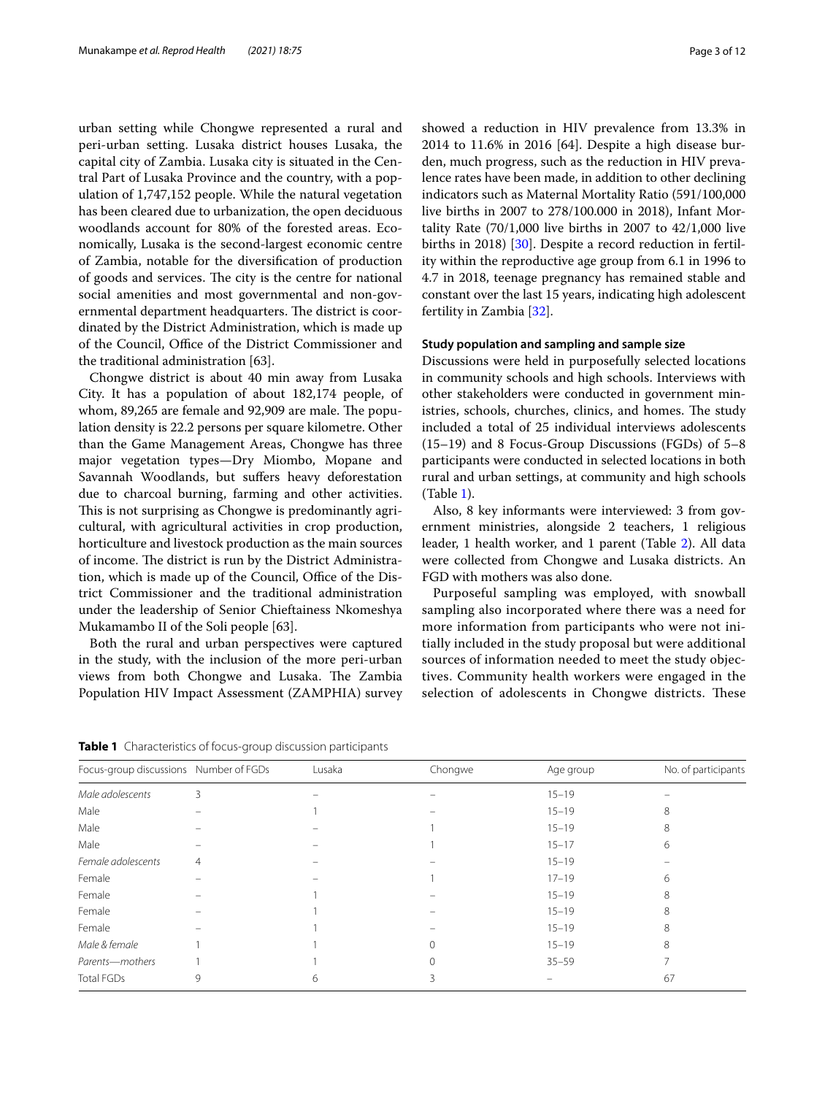urban setting while Chongwe represented a rural and peri-urban setting. Lusaka district houses Lusaka, the capital city of Zambia. Lusaka city is situated in the Central Part of Lusaka Province and the country, with a population of 1,747,152 people. While the natural vegetation has been cleared due to urbanization, the open deciduous woodlands account for 80% of the forested areas. Economically, Lusaka is the second-largest economic centre of Zambia, notable for the diversifcation of production of goods and services. The city is the centre for national social amenities and most governmental and non-governmental department headquarters. The district is coordinated by the District Administration, which is made up of the Council, Office of the District Commissioner and the traditional administration [63].

Chongwe district is about 40 min away from Lusaka City. It has a population of about 182,174 people, of whom, 89,265 are female and 92,909 are male. The population density is 22.2 persons per square kilometre. Other than the Game Management Areas, Chongwe has three major vegetation types—Dry Miombo, Mopane and Savannah Woodlands, but sufers heavy deforestation due to charcoal burning, farming and other activities. This is not surprising as Chongwe is predominantly agricultural, with agricultural activities in crop production, horticulture and livestock production as the main sources of income. The district is run by the District Administration, which is made up of the Council, Office of the District Commissioner and the traditional administration under the leadership of Senior Chieftainess Nkomeshya Mukamambo II of the Soli people [63].

Both the rural and urban perspectives were captured in the study, with the inclusion of the more peri-urban views from both Chongwe and Lusaka. The Zambia Population HIV Impact Assessment (ZAMPHIA) survey showed a reduction in HIV prevalence from 13.3% in 2014 to 11.6% in 2016 [64]. Despite a high disease burden, much progress, such as the reduction in HIV prevalence rates have been made, in addition to other declining indicators such as Maternal Mortality Ratio (591/100,000 live births in 2007 to 278/100.000 in 2018), Infant Mortality Rate (70/1,000 live births in 2007 to 42/1,000 live births in 2018) [[30\]](#page-11-25). Despite a record reduction in fertility within the reproductive age group from 6.1 in 1996 to 4.7 in 2018, teenage pregnancy has remained stable and constant over the last 15 years, indicating high adolescent fertility in Zambia [\[32](#page-11-26)].

### **Study population and sampling and sample size**

Discussions were held in purposefully selected locations in community schools and high schools. Interviews with other stakeholders were conducted in government ministries, schools, churches, clinics, and homes. The study included a total of 25 individual interviews adolescents (15–19) and 8 Focus-Group Discussions (FGDs) of 5–8 participants were conducted in selected locations in both rural and urban settings, at community and high schools (Table [1\)](#page-2-0).

Also, 8 key informants were interviewed: 3 from government ministries, alongside 2 teachers, 1 religious leader, 1 health worker, and 1 parent (Table [2\)](#page-3-0). All data were collected from Chongwe and Lusaka districts. An FGD with mothers was also done.

Purposeful sampling was employed, with snowball sampling also incorporated where there was a need for more information from participants who were not initially included in the study proposal but were additional sources of information needed to meet the study objectives. Community health workers were engaged in the selection of adolescents in Chongwe districts. These

<span id="page-2-0"></span>**Table 1** Characteristics of focus-group discussion participants

|                                        | $\tilde{}$ |        | . .      |           |                     |  |
|----------------------------------------|------------|--------|----------|-----------|---------------------|--|
| Focus-group discussions Number of FGDs |            | Lusaka | Chongwe  | Age group | No. of participants |  |
| Male adolescents                       | 3          |        |          | $15 - 19$ |                     |  |
| Male                                   |            |        |          | $15 - 19$ | 8                   |  |
| Male                                   |            |        |          | $15 - 19$ | 8                   |  |
| Male                                   |            |        |          | $15 - 17$ | 6                   |  |
| Female adolescents                     | 4          |        |          | $15 - 19$ |                     |  |
| Female                                 |            |        |          | $17 - 19$ | 6                   |  |
| Female                                 |            |        |          | $15 - 19$ | 8                   |  |
| Female                                 |            |        |          | $15 - 19$ | 8                   |  |
| Female                                 |            |        |          | $15 - 19$ | 8                   |  |
| Male & female                          |            |        |          | $15 - 19$ | 8                   |  |
| Parents-mothers                        |            |        | $\Omega$ | $35 - 59$ |                     |  |
| <b>Total FGDs</b>                      | 9          | 6      |          |           | 67                  |  |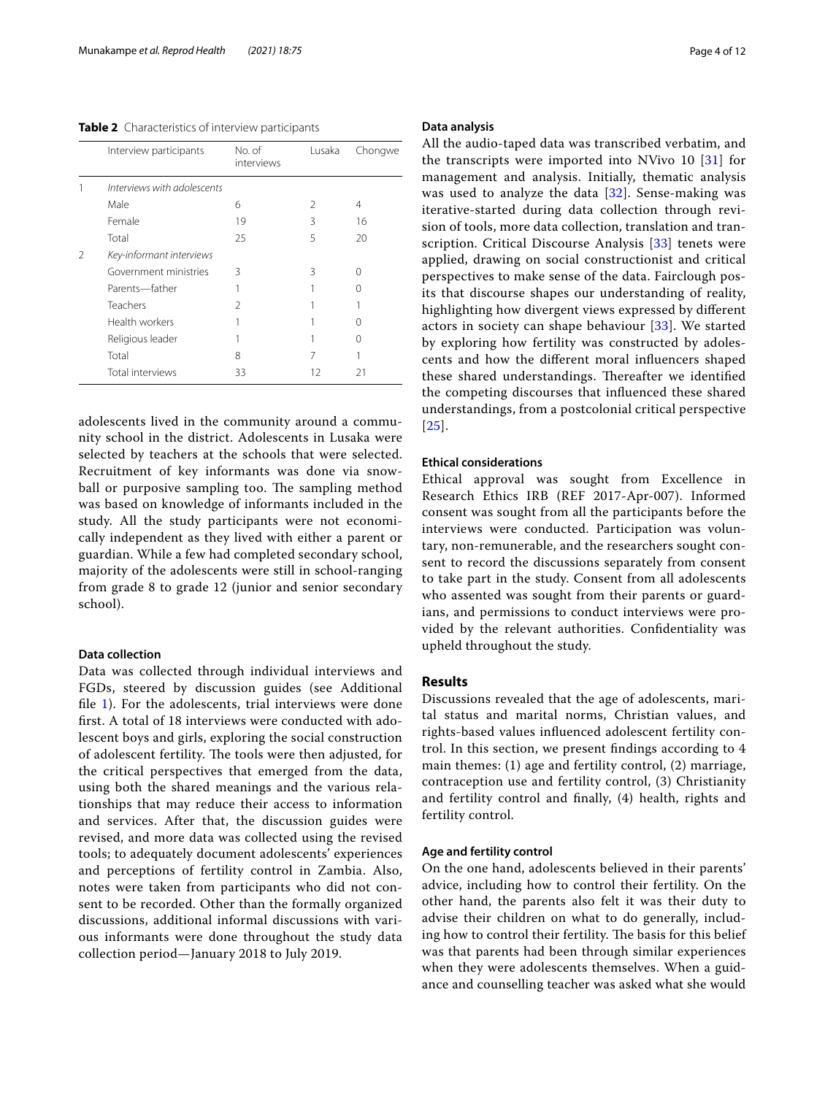#### <span id="page-3-0"></span>**Table 2** Characteristics of interview participants

|               | Interview participants      | No. of<br>interviews | Lusaka | Chongwe |  |  |
|---------------|-----------------------------|----------------------|--------|---------|--|--|
|               | Interviews with adolescents |                      |        |         |  |  |
|               | Male                        | 6                    | 2      | 4       |  |  |
|               | Female                      | 19                   | 3      | 16      |  |  |
|               | Total                       | 25                   | 5      | 20      |  |  |
| $\mathcal{P}$ | Key-informant interviews    |                      |        |         |  |  |
|               | Government ministries       | ζ                    | 3      | ∩       |  |  |
|               | Parents-father              |                      |        |         |  |  |
|               | Teachers                    | 2                    |        |         |  |  |
|               | Health workers              |                      |        |         |  |  |
|               | Religious leader            |                      |        |         |  |  |
|               | Total                       | 8                    | 7      |         |  |  |
|               | Total interviews            | 33                   | 12     |         |  |  |
|               |                             |                      |        |         |  |  |

adolescents lived in the community around a community school in the district. Adolescents in Lusaka were selected by teachers at the schools that were selected. Recruitment of key informants was done via snowball or purposive sampling too. The sampling method was based on knowledge of informants included in the study. All the study participants were not economically independent as they lived with either a parent or guardian. While a few had completed secondary school, majority of the adolescents were still in school-ranging from grade 8 to grade 12 (junior and senior secondary school).

## **Data collection**

Data was collected through individual interviews and FGDs, steered by discussion guides (see Additional file [1](#page-10-0)). For the adolescents, trial interviews were done frst. A total of 18 interviews were conducted with adolescent boys and girls, exploring the social construction of adolescent fertility. The tools were then adjusted, for the critical perspectives that emerged from the data, using both the shared meanings and the various relationships that may reduce their access to information and services. After that, the discussion guides were revised, and more data was collected using the revised tools; to adequately document adolescents' experiences and perceptions of fertility control in Zambia. Also, notes were taken from participants who did not consent to be recorded. Other than the formally organized discussions, additional informal discussions with various informants were done throughout the study data collection period—January 2018 to July 2019.

#### **Data analysis**

All the audio-taped data was transcribed verbatim, and the transcripts were imported into NVivo 10 [[31](#page-11-27)] for management and analysis. Initially, thematic analysis was used to analyze the data [[32\]](#page-11-26). Sense-making was iterative-started during data collection through revision of tools, more data collection, translation and transcription. Critical Discourse Analysis [[33](#page-11-28)] tenets were applied, drawing on social constructionist and critical perspectives to make sense of the data. Fairclough posits that discourse shapes our understanding of reality, highlighting how divergent views expressed by diferent actors in society can shape behaviour [[33\]](#page-11-28). We started by exploring how fertility was constructed by adolescents and how the diferent moral infuencers shaped these shared understandings. Thereafter we identified the competing discourses that infuenced these shared understandings, from a postcolonial critical perspective [[25](#page-11-20)].

#### **Ethical considerations**

Ethical approval was sought from Excellence in Research Ethics IRB (REF 2017-Apr-007). Informed consent was sought from all the participants before the interviews were conducted. Participation was voluntary, non-remunerable, and the researchers sought consent to record the discussions separately from consent to take part in the study. Consent from all adolescents who assented was sought from their parents or guardians, and permissions to conduct interviews were provided by the relevant authorities. Confdentiality was upheld throughout the study.

## **Results**

Discussions revealed that the age of adolescents, marital status and marital norms, Christian values, and rights-based values infuenced adolescent fertility control. In this section, we present fndings according to 4 main themes: (1) age and fertility control, (2) marriage, contraception use and fertility control, (3) Christianity and fertility control and fnally, (4) health, rights and fertility control.

## **Age and fertility control**

On the one hand, adolescents believed in their parents' advice, including how to control their fertility. On the other hand, the parents also felt it was their duty to advise their children on what to do generally, including how to control their fertility. The basis for this belief was that parents had been through similar experiences when they were adolescents themselves. When a guidance and counselling teacher was asked what she would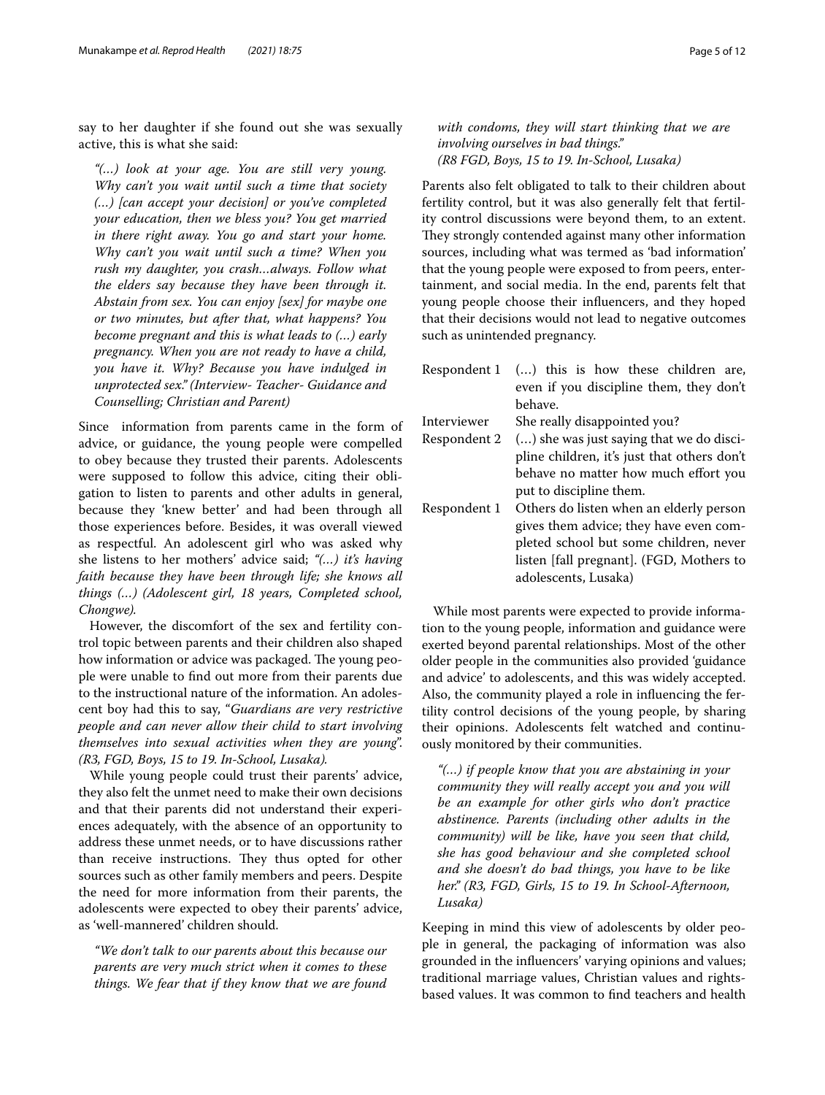say to her daughter if she found out she was sexually active, this is what she said:

*"(…) look at your age. You are still very young. Why can't you wait until such a time that society (…) [can accept your decision] or you've completed your education, then we bless you? You get married in there right away. You go and start your home. Why can't you wait until such a time? When you rush my daughter, you crash…always. Follow what the elders say because they have been through it. Abstain from sex. You can enjoy [sex] for maybe one or two minutes, but after that, what happens? You become pregnant and this is what leads to (…) early pregnancy. When you are not ready to have a child, you have it. Why? Because you have indulged in unprotected sex." (Interview- Teacher- Guidance and Counselling; Christian and Parent)*

Since information from parents came in the form of advice, or guidance, the young people were compelled to obey because they trusted their parents. Adolescents were supposed to follow this advice, citing their obligation to listen to parents and other adults in general, because they 'knew better' and had been through all those experiences before. Besides, it was overall viewed as respectful. An adolescent girl who was asked why she listens to her mothers' advice said; *"(…) it's having faith because they have been through life; she knows all things (…) (Adolescent girl, 18 years, Completed school, Chongwe).*

However, the discomfort of the sex and fertility control topic between parents and their children also shaped how information or advice was packaged. The young people were unable to fnd out more from their parents due to the instructional nature of the information. An adolescent boy had this to say, "*Guardians are very restrictive people and can never allow their child to start involving themselves into sexual activities when they are young*". *(R3, FGD, Boys, 15 to 19. In-School, Lusaka).*

While young people could trust their parents' advice, they also felt the unmet need to make their own decisions and that their parents did not understand their experiences adequately, with the absence of an opportunity to address these unmet needs, or to have discussions rather than receive instructions. They thus opted for other sources such as other family members and peers. Despite the need for more information from their parents, the adolescents were expected to obey their parents' advice, as 'well-mannered' children should.

*"We don't talk to our parents about this because our parents are very much strict when it comes to these things. We fear that if they know that we are found* 

*with condoms, they will start thinking that we are involving ourselves in bad things." (R8 FGD, Boys, 15 to 19. In-School, Lusaka)*

Parents also felt obligated to talk to their children about fertility control, but it was also generally felt that fertility control discussions were beyond them, to an extent. They strongly contended against many other information sources, including what was termed as 'bad information' that the young people were exposed to from peers, entertainment, and social media. In the end, parents felt that young people choose their infuencers, and they hoped that their decisions would not lead to negative outcomes such as unintended pregnancy.

|              | Respondent 1 () this is how these children are,<br>even if you discipline them, they don't<br>behave. |
|--------------|-------------------------------------------------------------------------------------------------------|
| Interviewer  | She really disappointed you?                                                                          |
| Respondent 2 | () she was just saying that we do disci-                                                              |
|              | pline children, it's just that others don't                                                           |
|              | behave no matter how much effort you                                                                  |
|              | put to discipline them.                                                                               |
| Respondent 1 | Others do listen when an elderly person                                                               |
|              | gives them advice; they have even com-                                                                |
|              | pleted school but some children, never                                                                |
|              | listen [fall pregnant]. (FGD, Mothers to                                                              |
|              | adolescents, Lusaka)                                                                                  |

While most parents were expected to provide information to the young people, information and guidance were exerted beyond parental relationships. Most of the other older people in the communities also provided 'guidance and advice' to adolescents, and this was widely accepted. Also, the community played a role in infuencing the fertility control decisions of the young people, by sharing their opinions. Adolescents felt watched and continuously monitored by their communities.

*"(…) if people know that you are abstaining in your community they will really accept you and you will be an example for other girls who don't practice abstinence. Parents (including other adults in the community) will be like, have you seen that child, she has good behaviour and she completed school and she doesn't do bad things, you have to be like her." (R3, FGD, Girls, 15 to 19. In School-Afternoon, Lusaka)*

Keeping in mind this view of adolescents by older people in general, the packaging of information was also grounded in the infuencers' varying opinions and values; traditional marriage values, Christian values and rightsbased values. It was common to fnd teachers and health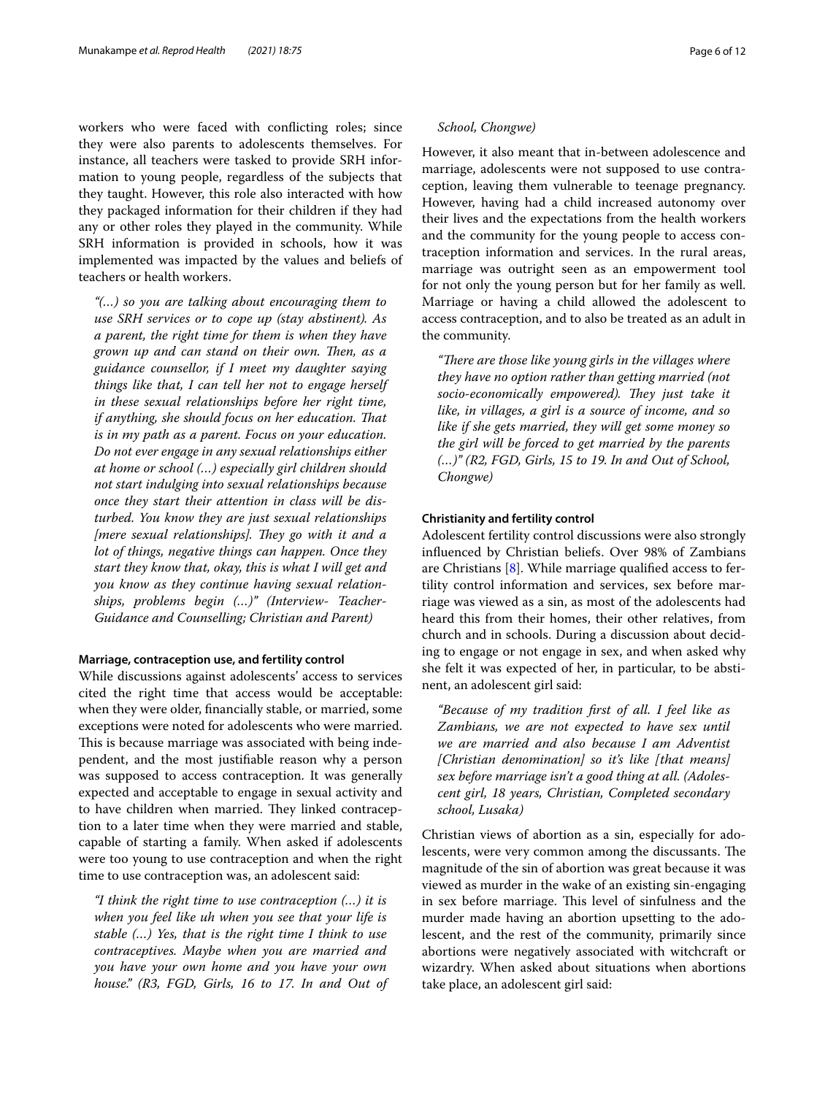workers who were faced with conficting roles; since they were also parents to adolescents themselves. For instance, all teachers were tasked to provide SRH information to young people, regardless of the subjects that they taught. However, this role also interacted with how they packaged information for their children if they had any or other roles they played in the community. While SRH information is provided in schools, how it was implemented was impacted by the values and beliefs of teachers or health workers.

*"(…) so you are talking about encouraging them to use SRH services or to cope up (stay abstinent). As a parent, the right time for them is when they have*  grown up and can stand on their own. Then, as a *guidance counsellor, if I meet my daughter saying things like that, I can tell her not to engage herself in these sexual relationships before her right time, if anything, she should focus on her education. Tat is in my path as a parent. Focus on your education. Do not ever engage in any sexual relationships either at home or school (…) especially girl children should not start indulging into sexual relationships because once they start their attention in class will be disturbed. You know they are just sexual relationships [mere sexual relationships]. They go with it and a lot of things, negative things can happen. Once they start they know that, okay, this is what I will get and you know as they continue having sexual relationships, problems begin (…)" (Interview- Teacher-Guidance and Counselling; Christian and Parent)*

#### **Marriage, contraception use, and fertility control**

While discussions against adolescents' access to services cited the right time that access would be acceptable: when they were older, fnancially stable, or married, some exceptions were noted for adolescents who were married. This is because marriage was associated with being independent, and the most justifable reason why a person was supposed to access contraception. It was generally expected and acceptable to engage in sexual activity and to have children when married. They linked contraception to a later time when they were married and stable, capable of starting a family. When asked if adolescents were too young to use contraception and when the right time to use contraception was, an adolescent said:

*"I think the right time to use contraception (…) it is when you feel like uh when you see that your life is stable (…) Yes, that is the right time I think to use contraceptives. Maybe when you are married and you have your own home and you have your own house." (R3, FGD, Girls, 16 to 17. In and Out of* 

## *School, Chongwe)*

However, it also meant that in-between adolescence and marriage, adolescents were not supposed to use contraception, leaving them vulnerable to teenage pregnancy. However, having had a child increased autonomy over their lives and the expectations from the health workers and the community for the young people to access contraception information and services. In the rural areas, marriage was outright seen as an empowerment tool for not only the young person but for her family as well. Marriage or having a child allowed the adolescent to access contraception, and to also be treated as an adult in the community.

"There are those like young girls in the villages where *they have no option rather than getting married (not*  socio-economically empowered). They just take it *like, in villages, a girl is a source of income, and so like if she gets married, they will get some money so the girl will be forced to get married by the parents (…)" (R2, FGD, Girls, 15 to 19. In and Out of School, Chongwe)*

## **Christianity and fertility control**

Adolescent fertility control discussions were also strongly infuenced by Christian beliefs. Over 98% of Zambians are Christians [[8\]](#page-11-5). While marriage qualifed access to fertility control information and services, sex before marriage was viewed as a sin, as most of the adolescents had heard this from their homes, their other relatives, from church and in schools. During a discussion about deciding to engage or not engage in sex, and when asked why she felt it was expected of her, in particular, to be abstinent, an adolescent girl said:

*"Because of my tradition frst of all. I feel like as Zambians, we are not expected to have sex until we are married and also because I am Adventist [Christian denomination] so it's like [that means] sex before marriage isn't a good thing at all. (Adolescent girl, 18 years, Christian, Completed secondary school, Lusaka)*

Christian views of abortion as a sin, especially for adolescents, were very common among the discussants. The magnitude of the sin of abortion was great because it was viewed as murder in the wake of an existing sin-engaging in sex before marriage. This level of sinfulness and the murder made having an abortion upsetting to the adolescent, and the rest of the community, primarily since abortions were negatively associated with witchcraft or wizardry. When asked about situations when abortions take place, an adolescent girl said: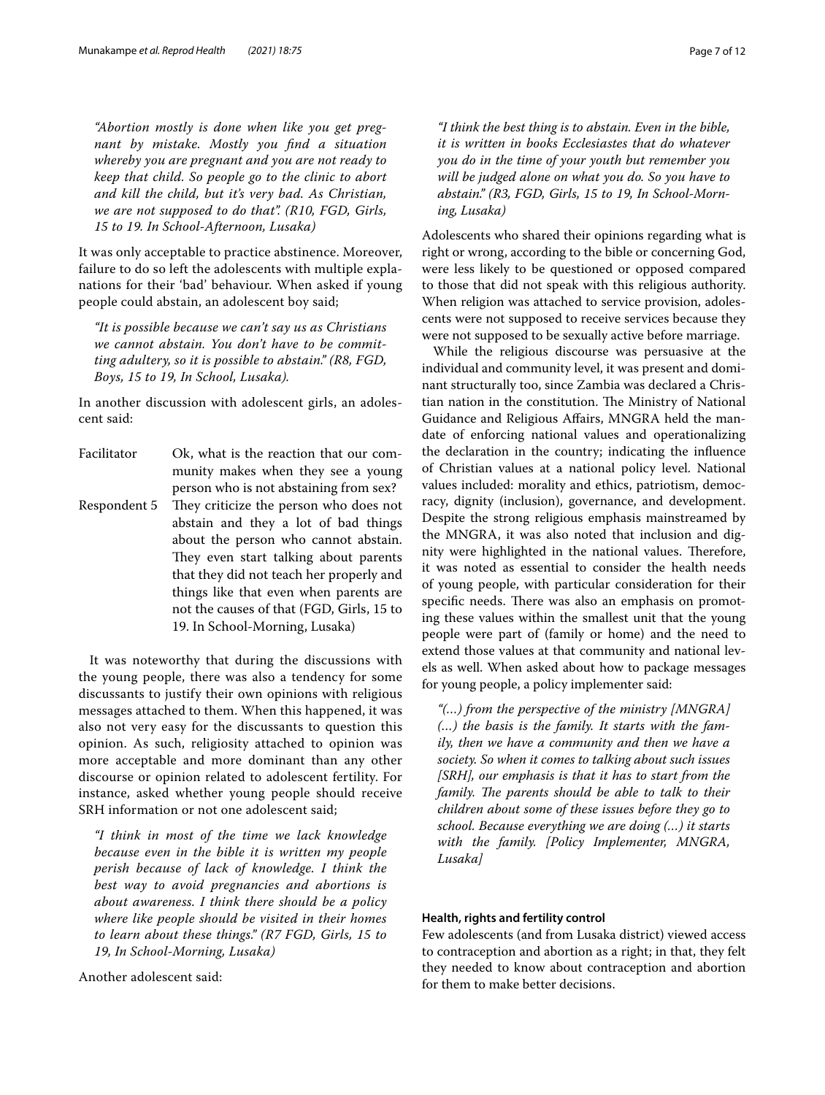*"Abortion mostly is done when like you get pregnant by mistake. Mostly you fnd a situation whereby you are pregnant and you are not ready to keep that child. So people go to the clinic to abort and kill the child, but it's very bad. As Christian, we are not supposed to do that". (R10, FGD, Girls, 15 to 19. In School-Afternoon, Lusaka)*

It was only acceptable to practice abstinence. Moreover, failure to do so left the adolescents with multiple explanations for their 'bad' behaviour. When asked if young people could abstain, an adolescent boy said;

*"It is possible because we can't say us as Christians we cannot abstain. You don't have to be committing adultery, so it is possible to abstain." (R8, FGD, Boys, 15 to 19, In School, Lusaka).*

In another discussion with adolescent girls, an adolescent said:

Facilitator Ok, what is the reaction that our community makes when they see a young person who is not abstaining from sex? Respondent 5 They criticize the person who does not abstain and they a lot of bad things about the person who cannot abstain. They even start talking about parents that they did not teach her properly and things like that even when parents are not the causes of that (FGD, Girls, 15 to 19. In School-Morning, Lusaka)

It was noteworthy that during the discussions with the young people, there was also a tendency for some discussants to justify their own opinions with religious messages attached to them. When this happened, it was also not very easy for the discussants to question this opinion. As such, religiosity attached to opinion was more acceptable and more dominant than any other discourse or opinion related to adolescent fertility. For instance, asked whether young people should receive SRH information or not one adolescent said;

*"I think in most of the time we lack knowledge because even in the bible it is written my people perish because of lack of knowledge. I think the best way to avoid pregnancies and abortions is about awareness. I think there should be a policy where like people should be visited in their homes to learn about these things." (R7 FGD, Girls, 15 to 19, In School-Morning, Lusaka)*

Another adolescent said:

*"I think the best thing is to abstain. Even in the bible, it is written in books Ecclesiastes that do whatever you do in the time of your youth but remember you will be judged alone on what you do. So you have to abstain." (R3, FGD, Girls, 15 to 19, In School-Morning, Lusaka)*

Adolescents who shared their opinions regarding what is right or wrong, according to the bible or concerning God, were less likely to be questioned or opposed compared to those that did not speak with this religious authority. When religion was attached to service provision, adolescents were not supposed to receive services because they were not supposed to be sexually active before marriage.

While the religious discourse was persuasive at the individual and community level, it was present and dominant structurally too, since Zambia was declared a Christian nation in the constitution. The Ministry of National Guidance and Religious Afairs, MNGRA held the mandate of enforcing national values and operationalizing the declaration in the country; indicating the infuence of Christian values at a national policy level. National values included: morality and ethics, patriotism, democracy, dignity (inclusion), governance, and development. Despite the strong religious emphasis mainstreamed by the MNGRA, it was also noted that inclusion and dignity were highlighted in the national values. Therefore, it was noted as essential to consider the health needs of young people, with particular consideration for their specific needs. There was also an emphasis on promoting these values within the smallest unit that the young people were part of (family or home) and the need to extend those values at that community and national levels as well. When asked about how to package messages for young people, a policy implementer said:

*"(…) from the perspective of the ministry [MNGRA] (…) the basis is the family. It starts with the family, then we have a community and then we have a society. So when it comes to talking about such issues [SRH], our emphasis is that it has to start from the*  family. The parents should be able to talk to their *children about some of these issues before they go to school. Because everything we are doing (…) it starts with the family. [Policy Implementer, MNGRA, Lusaka]*

## **Health, rights and fertility control**

Few adolescents (and from Lusaka district) viewed access to contraception and abortion as a right; in that, they felt they needed to know about contraception and abortion for them to make better decisions.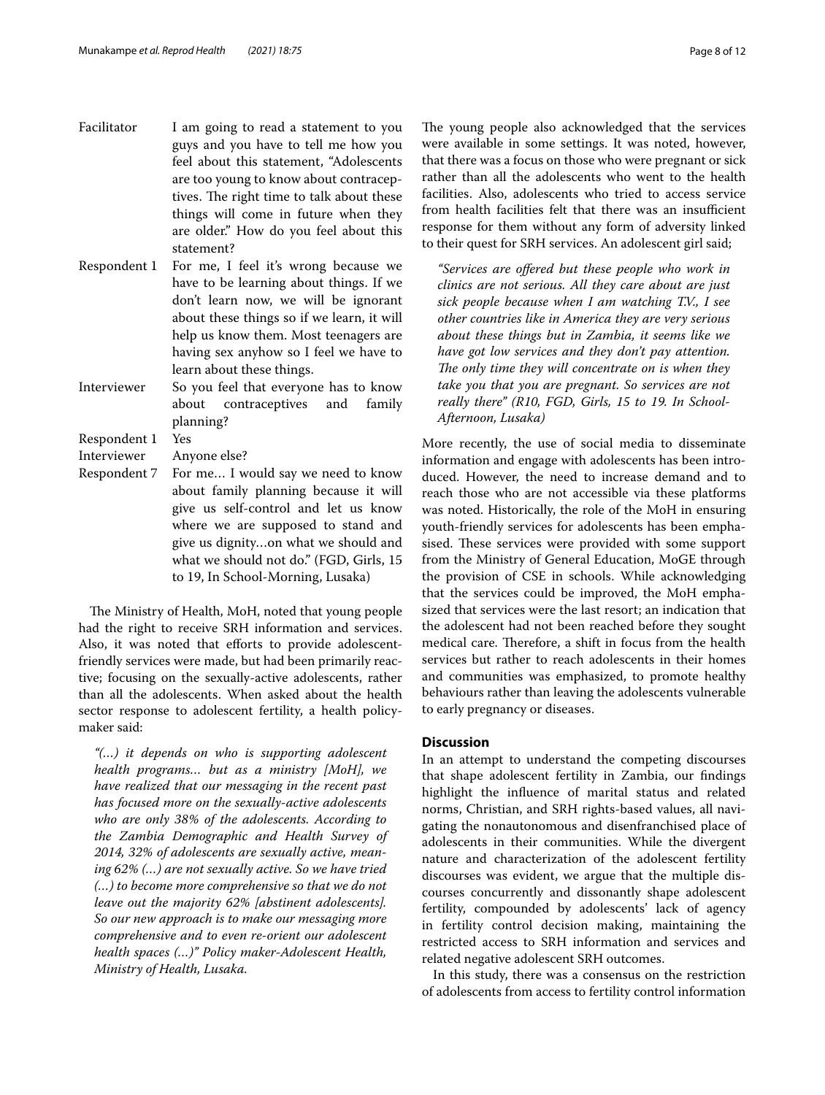- Facilitator I am going to read a statement to you guys and you have to tell me how you feel about this statement, "Adolescents are too young to know about contraceptives. The right time to talk about these things will come in future when they are older." How do you feel about this statement?
- Respondent 1 For me, I feel it's wrong because we have to be learning about things. If we don't learn now, we will be ignorant about these things so if we learn, it will help us know them. Most teenagers are having sex anyhow so I feel we have to learn about these things.
- Interviewer So you feel that everyone has to know about contraceptives and family planning?

Respondent 1 Yes

- Interviewer Anyone else?
- Respondent 7 For me… I would say we need to know about family planning because it will give us self-control and let us know where we are supposed to stand and give us dignity…on what we should and what we should not do." (FGD, Girls, 15 to 19, In School-Morning, Lusaka)

The Ministry of Health, MoH, noted that young people had the right to receive SRH information and services. Also, it was noted that efforts to provide adolescentfriendly services were made, but had been primarily reactive; focusing on the sexually-active adolescents, rather than all the adolescents. When asked about the health sector response to adolescent fertility, a health policymaker said:

*"(…) it depends on who is supporting adolescent health programs… but as a ministry [MoH], we have realized that our messaging in the recent past has focused more on the sexually-active adolescents who are only 38% of the adolescents. According to the Zambia Demographic and Health Survey of 2014, 32% of adolescents are sexually active, meaning 62% (…) are not sexually active. So we have tried (…) to become more comprehensive so that we do not leave out the majority 62% [abstinent adolescents]. So our new approach is to make our messaging more comprehensive and to even re-orient our adolescent health spaces (…)" Policy maker-Adolescent Health, Ministry of Health, Lusaka.*

The young people also acknowledged that the services were available in some settings. It was noted, however, that there was a focus on those who were pregnant or sick rather than all the adolescents who went to the health facilities. Also, adolescents who tried to access service from health facilities felt that there was an insufficient response for them without any form of adversity linked to their quest for SRH services. An adolescent girl said;

*"Services are ofered but these people who work in clinics are not serious. All they care about are just sick people because when I am watching T.V., I see other countries like in America they are very serious about these things but in Zambia, it seems like we have got low services and they don't pay attention.*  The only time they will concentrate on is when they *take you that you are pregnant. So services are not really there" (R10, FGD, Girls, 15 to 19. In School-Afternoon, Lusaka)*

More recently, the use of social media to disseminate information and engage with adolescents has been introduced. However, the need to increase demand and to reach those who are not accessible via these platforms was noted. Historically, the role of the MoH in ensuring youth-friendly services for adolescents has been emphasised. These services were provided with some support from the Ministry of General Education, MoGE through the provision of CSE in schools. While acknowledging that the services could be improved, the MoH emphasized that services were the last resort; an indication that the adolescent had not been reached before they sought medical care. Therefore, a shift in focus from the health services but rather to reach adolescents in their homes and communities was emphasized, to promote healthy behaviours rather than leaving the adolescents vulnerable to early pregnancy or diseases.

## **Discussion**

In an attempt to understand the competing discourses that shape adolescent fertility in Zambia, our fndings highlight the infuence of marital status and related norms, Christian, and SRH rights-based values, all navigating the nonautonomous and disenfranchised place of adolescents in their communities. While the divergent nature and characterization of the adolescent fertility discourses was evident, we argue that the multiple discourses concurrently and dissonantly shape adolescent fertility, compounded by adolescents' lack of agency in fertility control decision making, maintaining the restricted access to SRH information and services and related negative adolescent SRH outcomes.

In this study, there was a consensus on the restriction of adolescents from access to fertility control information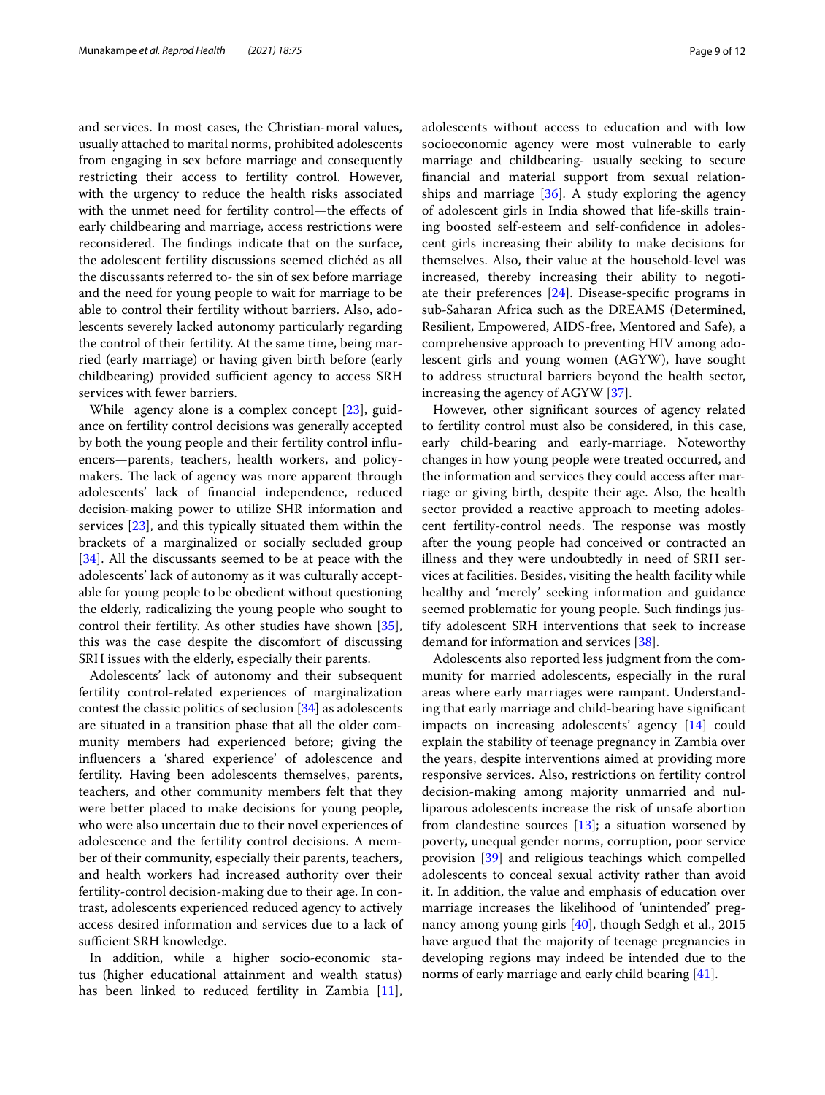and services. In most cases, the Christian-moral values, usually attached to marital norms, prohibited adolescents from engaging in sex before marriage and consequently restricting their access to fertility control. However, with the urgency to reduce the health risks associated with the unmet need for fertility control—the efects of early childbearing and marriage, access restrictions were reconsidered. The findings indicate that on the surface, the adolescent fertility discussions seemed clichéd as all the discussants referred to- the sin of sex before marriage and the need for young people to wait for marriage to be able to control their fertility without barriers. Also, adolescents severely lacked autonomy particularly regarding the control of their fertility. At the same time, being married (early marriage) or having given birth before (early childbearing) provided sufficient agency to access SRH services with fewer barriers.

While agency alone is a complex concept [\[23\]](#page-11-18), guidance on fertility control decisions was generally accepted by both the young people and their fertility control infuencers—parents, teachers, health workers, and policymakers. The lack of agency was more apparent through adolescents' lack of fnancial independence, reduced decision-making power to utilize SHR information and services [\[23](#page-11-18)], and this typically situated them within the brackets of a marginalized or socially secluded group [[34\]](#page-11-29). All the discussants seemed to be at peace with the adolescents' lack of autonomy as it was culturally acceptable for young people to be obedient without questioning the elderly, radicalizing the young people who sought to control their fertility. As other studies have shown [\[35](#page-11-30)], this was the case despite the discomfort of discussing SRH issues with the elderly, especially their parents.

Adolescents' lack of autonomy and their subsequent fertility control-related experiences of marginalization contest the classic politics of seclusion [[34](#page-11-29)] as adolescents are situated in a transition phase that all the older community members had experienced before; giving the infuencers a 'shared experience' of adolescence and fertility. Having been adolescents themselves, parents, teachers, and other community members felt that they were better placed to make decisions for young people, who were also uncertain due to their novel experiences of adolescence and the fertility control decisions. A member of their community, especially their parents, teachers, and health workers had increased authority over their fertility-control decision-making due to their age. In contrast, adolescents experienced reduced agency to actively access desired information and services due to a lack of sufficient SRH knowledge.

In addition, while a higher socio-economic status (higher educational attainment and wealth status) has been linked to reduced fertility in Zambia [\[11](#page-11-7)], adolescents without access to education and with low socioeconomic agency were most vulnerable to early marriage and childbearing- usually seeking to secure fnancial and material support from sexual relationships and marriage  $[36]$  $[36]$ . A study exploring the agency of adolescent girls in India showed that life-skills training boosted self-esteem and self-confdence in adolescent girls increasing their ability to make decisions for themselves. Also, their value at the household-level was increased, thereby increasing their ability to negotiate their preferences [\[24](#page-11-19)]. Disease-specifc programs in sub-Saharan Africa such as the DREAMS (Determined, Resilient, Empowered, AIDS-free, Mentored and Safe), a comprehensive approach to preventing HIV among adolescent girls and young women (AGYW), have sought to address structural barriers beyond the health sector, increasing the agency of AGYW [\[37](#page-11-32)].

However, other signifcant sources of agency related to fertility control must also be considered, in this case, early child-bearing and early-marriage. Noteworthy changes in how young people were treated occurred, and the information and services they could access after marriage or giving birth, despite their age. Also, the health sector provided a reactive approach to meeting adolescent fertility-control needs. The response was mostly after the young people had conceived or contracted an illness and they were undoubtedly in need of SRH services at facilities. Besides, visiting the health facility while healthy and 'merely' seeking information and guidance seemed problematic for young people. Such fndings justify adolescent SRH interventions that seek to increase demand for information and services [[38\]](#page-11-33).

Adolescents also reported less judgment from the community for married adolescents, especially in the rural areas where early marriages were rampant. Understanding that early marriage and child-bearing have signifcant impacts on increasing adolescents' agency [\[14](#page-11-10)] could explain the stability of teenage pregnancy in Zambia over the years, despite interventions aimed at providing more responsive services. Also, restrictions on fertility control decision-making among majority unmarried and nulliparous adolescents increase the risk of unsafe abortion from clandestine sources  $[13]$  $[13]$ ; a situation worsened by poverty, unequal gender norms, corruption, poor service provision [\[39](#page-11-34)] and religious teachings which compelled adolescents to conceal sexual activity rather than avoid it. In addition, the value and emphasis of education over marriage increases the likelihood of 'unintended' pregnancy among young girls [\[40\]](#page-11-35), though Sedgh et al., 2015 have argued that the majority of teenage pregnancies in developing regions may indeed be intended due to the norms of early marriage and early child bearing [\[41](#page-11-36)].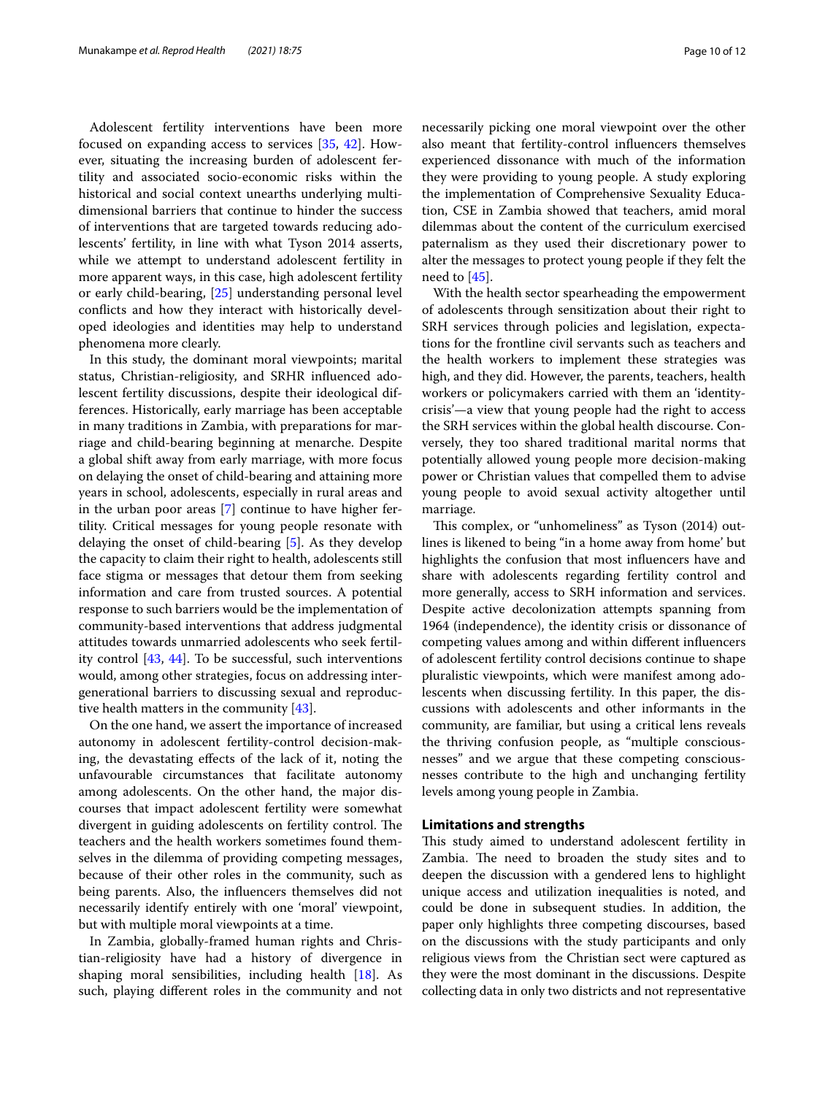Adolescent fertility interventions have been more focused on expanding access to services [[35](#page-11-30), [42](#page-11-37)]. However, situating the increasing burden of adolescent fertility and associated socio-economic risks within the historical and social context unearths underlying multidimensional barriers that continue to hinder the success of interventions that are targeted towards reducing adolescents' fertility, in line with what Tyson 2014 asserts, while we attempt to understand adolescent fertility in more apparent ways, in this case, high adolescent fertility or early child-bearing, [\[25\]](#page-11-20) understanding personal level conficts and how they interact with historically developed ideologies and identities may help to understand phenomena more clearly.

In this study, the dominant moral viewpoints; marital status, Christian-religiosity, and SRHR infuenced adolescent fertility discussions, despite their ideological differences. Historically, early marriage has been acceptable in many traditions in Zambia, with preparations for marriage and child-bearing beginning at menarche. Despite a global shift away from early marriage, with more focus on delaying the onset of child-bearing and attaining more years in school, adolescents, especially in rural areas and in the urban poor areas [\[7](#page-11-4)] continue to have higher fertility. Critical messages for young people resonate with delaying the onset of child-bearing [\[5](#page-11-2)]. As they develop the capacity to claim their right to health, adolescents still face stigma or messages that detour them from seeking information and care from trusted sources. A potential response to such barriers would be the implementation of community-based interventions that address judgmental attitudes towards unmarried adolescents who seek fertility control [\[43](#page-11-38), [44\]](#page-11-39). To be successful, such interventions would, among other strategies, focus on addressing intergenerational barriers to discussing sexual and reproductive health matters in the community [\[43](#page-11-38)].

On the one hand, we assert the importance of increased autonomy in adolescent fertility-control decision-making, the devastating efects of the lack of it, noting the unfavourable circumstances that facilitate autonomy among adolescents. On the other hand, the major discourses that impact adolescent fertility were somewhat divergent in guiding adolescents on fertility control. The teachers and the health workers sometimes found themselves in the dilemma of providing competing messages, because of their other roles in the community, such as being parents. Also, the infuencers themselves did not necessarily identify entirely with one 'moral' viewpoint, but with multiple moral viewpoints at a time.

In Zambia, globally-framed human rights and Christian-religiosity have had a history of divergence in shaping moral sensibilities, including health [[18](#page-11-14)]. As such, playing diferent roles in the community and not necessarily picking one moral viewpoint over the other also meant that fertility-control infuencers themselves experienced dissonance with much of the information they were providing to young people. A study exploring the implementation of Comprehensive Sexuality Education, CSE in Zambia showed that teachers, amid moral dilemmas about the content of the curriculum exercised paternalism as they used their discretionary power to alter the messages to protect young people if they felt the need to [[45\]](#page-11-40).

With the health sector spearheading the empowerment of adolescents through sensitization about their right to SRH services through policies and legislation, expectations for the frontline civil servants such as teachers and the health workers to implement these strategies was high, and they did. However, the parents, teachers, health workers or policymakers carried with them an 'identitycrisis'—a view that young people had the right to access the SRH services within the global health discourse. Conversely, they too shared traditional marital norms that potentially allowed young people more decision-making power or Christian values that compelled them to advise young people to avoid sexual activity altogether until marriage.

This complex, or "unhomeliness" as Tyson (2014) outlines is likened to being "in a home away from home' but highlights the confusion that most infuencers have and share with adolescents regarding fertility control and more generally, access to SRH information and services. Despite active decolonization attempts spanning from 1964 (independence), the identity crisis or dissonance of competing values among and within diferent infuencers of adolescent fertility control decisions continue to shape pluralistic viewpoints, which were manifest among adolescents when discussing fertility. In this paper, the discussions with adolescents and other informants in the community, are familiar, but using a critical lens reveals the thriving confusion people, as "multiple consciousnesses" and we argue that these competing consciousnesses contribute to the high and unchanging fertility levels among young people in Zambia.

### **Limitations and strengths**

This study aimed to understand adolescent fertility in Zambia. The need to broaden the study sites and to deepen the discussion with a gendered lens to highlight unique access and utilization inequalities is noted, and could be done in subsequent studies. In addition, the paper only highlights three competing discourses, based on the discussions with the study participants and only religious views from the Christian sect were captured as they were the most dominant in the discussions. Despite collecting data in only two districts and not representative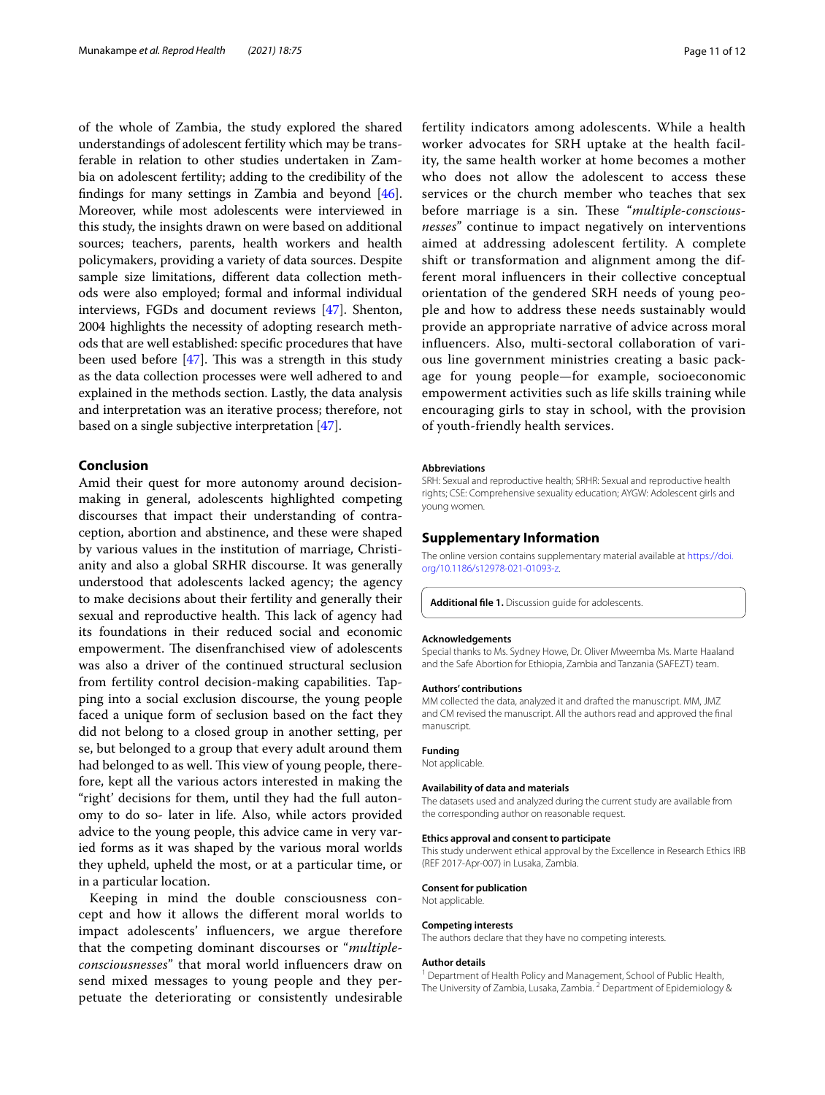of the whole of Zambia, the study explored the shared understandings of adolescent fertility which may be transferable in relation to other studies undertaken in Zambia on adolescent fertility; adding to the credibility of the fndings for many settings in Zambia and beyond [\[46](#page-11-41)]. Moreover, while most adolescents were interviewed in this study, the insights drawn on were based on additional sources; teachers, parents, health workers and health policymakers, providing a variety of data sources. Despite sample size limitations, diferent data collection methods were also employed; formal and informal individual interviews, FGDs and document reviews [\[47](#page-11-42)]. Shenton, 2004 highlights the necessity of adopting research methods that are well established: specifc procedures that have been used before  $[47]$  $[47]$ . This was a strength in this study as the data collection processes were well adhered to and explained in the methods section. Lastly, the data analysis and interpretation was an iterative process; therefore, not based on a single subjective interpretation [[47](#page-11-42)].

## **Conclusion**

Amid their quest for more autonomy around decisionmaking in general, adolescents highlighted competing discourses that impact their understanding of contraception, abortion and abstinence, and these were shaped by various values in the institution of marriage, Christianity and also a global SRHR discourse. It was generally understood that adolescents lacked agency; the agency to make decisions about their fertility and generally their sexual and reproductive health. This lack of agency had its foundations in their reduced social and economic empowerment. The disenfranchised view of adolescents was also a driver of the continued structural seclusion from fertility control decision-making capabilities. Tapping into a social exclusion discourse, the young people faced a unique form of seclusion based on the fact they did not belong to a closed group in another setting, per se, but belonged to a group that every adult around them had belonged to as well. This view of young people, therefore, kept all the various actors interested in making the "right' decisions for them, until they had the full autonomy to do so- later in life. Also, while actors provided advice to the young people, this advice came in very varied forms as it was shaped by the various moral worlds they upheld, upheld the most, or at a particular time, or in a particular location.

Keeping in mind the double consciousness concept and how it allows the diferent moral worlds to impact adolescents' infuencers, we argue therefore that the competing dominant discourses or "*multipleconsciousnesses*" that moral world infuencers draw on send mixed messages to young people and they perpetuate the deteriorating or consistently undesirable fertility indicators among adolescents. While a health worker advocates for SRH uptake at the health facility, the same health worker at home becomes a mother who does not allow the adolescent to access these services or the church member who teaches that sex before marriage is a sin. These "multiple-conscious*nesses*" continue to impact negatively on interventions aimed at addressing adolescent fertility. A complete shift or transformation and alignment among the different moral infuencers in their collective conceptual orientation of the gendered SRH needs of young people and how to address these needs sustainably would provide an appropriate narrative of advice across moral infuencers. Also, multi-sectoral collaboration of various line government ministries creating a basic package for young people—for example, socioeconomic empowerment activities such as life skills training while encouraging girls to stay in school, with the provision of youth-friendly health services.

#### **Abbreviations**

SRH: Sexual and reproductive health; SRHR: Sexual and reproductive health rights; CSE: Comprehensive sexuality education; AYGW: Adolescent girls and young women.

#### **Supplementary Information**

The online version contains supplementary material available at [https://doi.](https://doi.org/10.1186/s12978-021-01093-z) [org/10.1186/s12978-021-01093-z.](https://doi.org/10.1186/s12978-021-01093-z)

<span id="page-10-0"></span>**Additional fle 1.** Discussion guide for adolescents.

#### **Acknowledgements**

Special thanks to Ms. Sydney Howe, Dr. Oliver Mweemba Ms. Marte Haaland and the Safe Abortion for Ethiopia, Zambia and Tanzania (SAFEZT) team.

#### **Authors' contributions**

MM collected the data, analyzed it and drafted the manuscript. MM, JMZ and CM revised the manuscript. All the authors read and approved the fnal manuscript.

#### **Funding**

Not applicable.

#### **Availability of data and materials**

The datasets used and analyzed during the current study are available from the corresponding author on reasonable request.

#### **Ethics approval and consent to participate**

This study underwent ethical approval by the Excellence in Research Ethics IRB (REF 2017-Apr-007) in Lusaka, Zambia.

#### **Consent for publication**

Not applicable.

#### **Competing interests**

The authors declare that they have no competing interests.

#### **Author details**

<sup>1</sup> Department of Health Policy and Management, School of Public Health, The University of Zambia, Lusaka, Zambia. <sup>2</sup> Department of Epidemiology &